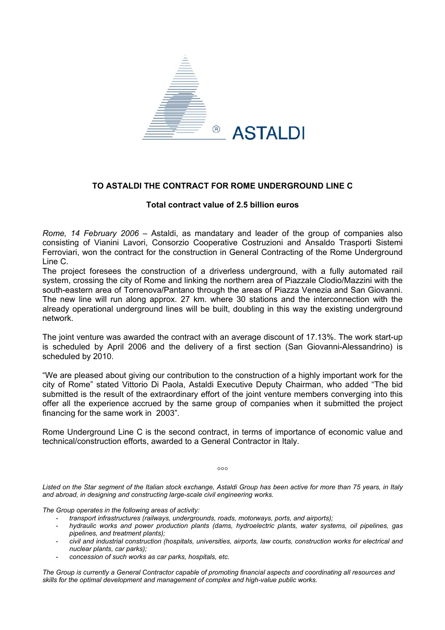

## **TO ASTALDI THE CONTRACT FOR ROME UNDERGROUND LINE C**

## **Total contract value of 2.5 billion euros**

*Rome, 14 February 2006* – Astaldi, as mandatary and leader of the group of companies also consisting of Vianini Lavori, Consorzio Cooperative Costruzioni and Ansaldo Trasporti Sistemi Ferroviari, won the contract for the construction in General Contracting of the Rome Underground Line C.

The project foresees the construction of a driverless underground, with a fully automated rail system, crossing the city of Rome and linking the northern area of Piazzale Clodio/Mazzini with the south-eastern area of Torrenova/Pantano through the areas of Piazza Venezia and San Giovanni. The new line will run along approx. 27 km. where 30 stations and the interconnection with the already operational underground lines will be built, doubling in this way the existing underground network.

The joint venture was awarded the contract with an average discount of 17.13%. The work start-up is scheduled by April 2006 and the delivery of a first section (San Giovanni-Alessandrino) is scheduled by 2010.

"We are pleased about giving our contribution to the construction of a highly important work for the city of Rome" stated Vittorio Di Paola, Astaldi Executive Deputy Chairman, who added "The bid submitted is the result of the extraordinary effort of the joint venture members converging into this offer all the experience accrued by the same group of companies when it submitted the project financing for the same work in 2003".

Rome Underground Line C is the second contract, in terms of importance of economic value and technical/construction efforts, awarded to a General Contractor in Italy.

 $000$ 

*Listed on the Star segment of the Italian stock exchange, Astaldi Group has been active for more than 75 years, in Italy and abroad, in designing and constructing large-scale civil engineering works.* 

*The Group operates in the following areas of activity:* 

- *transport infrastructures (railways, undergrounds, roads, motorways, ports, and airports);*
- *hydraulic works and power production plants (dams, hydroelectric plants, water systems, oil pipelines, gas pipelines, and treatment plants);*
- *civil and industrial construction (hospitals, universities, airports, law courts, construction works for electrical and nuclear plants, car parks);*
- *concession of such works as car parks, hospitals, etc.*

*The Group is currently a General Contractor capable of promoting financial aspects and coordinating all resources and skills for the optimal development and management of complex and high-value public works.*